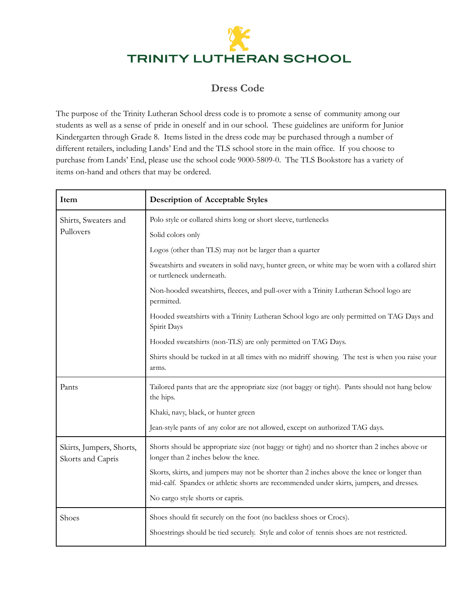## TRINITY LUTHERAN SCHOOL

## **Dress Code**

The purpose of the Trinity Lutheran School dress code is to promote a sense of community among our students as well as a sense of pride in oneself and in our school. These guidelines are uniform for Junior Kindergarten through Grade 8. Items listed in the dress code may be purchased through a number of different retailers, including Lands' End and the TLS school store in the main office. If you choose to purchase from Lands' End, please use the school code 9000-5809-0. The TLS Bookstore has a variety of items on-hand and others that may be ordered.

| Item                                          | <b>Description of Acceptable Styles</b>                                                                                                                                                |
|-----------------------------------------------|----------------------------------------------------------------------------------------------------------------------------------------------------------------------------------------|
| Shirts, Sweaters and<br>Pullovers             | Polo style or collared shirts long or short sleeve, turtlenecks                                                                                                                        |
|                                               | Solid colors only                                                                                                                                                                      |
|                                               | Logos (other than TLS) may not be larger than a quarter                                                                                                                                |
|                                               | Sweatshirts and sweaters in solid navy, hunter green, or white may be worn with a collared shirt<br>or turtleneck underneath.                                                          |
|                                               | Non-hooded sweatshirts, fleeces, and pull-over with a Trinity Lutheran School logo are<br>permitted.                                                                                   |
|                                               | Hooded sweatshirts with a Trinity Lutheran School logo are only permitted on TAG Days and<br>Spirit Days                                                                               |
|                                               | Hooded sweatshirts (non-TLS) are only permitted on TAG Days.                                                                                                                           |
|                                               | Shirts should be tucked in at all times with no midriff showing. The test is when you raise your<br>arms.                                                                              |
| Pants                                         | Tailored pants that are the appropriate size (not baggy or tight). Pants should not hang below<br>the hips.                                                                            |
|                                               | Khaki, navy, black, or hunter green                                                                                                                                                    |
|                                               | Jean-style pants of any color are not allowed, except on authorized TAG days.                                                                                                          |
| Skirts, Jumpers, Shorts,<br>Skorts and Capris | Shorts should be appropriate size (not baggy or tight) and no shorter than 2 inches above or<br>longer than 2 inches below the knee.                                                   |
|                                               | Skorts, skirts, and jumpers may not be shorter than 2 inches above the knee or longer than<br>mid-calf. Spandex or athletic shorts are recommended under skirts, jumpers, and dresses. |
|                                               | No cargo style shorts or capris.                                                                                                                                                       |
| Shoes                                         | Shoes should fit securely on the foot (no backless shoes or Crocs).                                                                                                                    |
|                                               | Shoestrings should be tied securely. Style and color of tennis shoes are not restricted.                                                                                               |